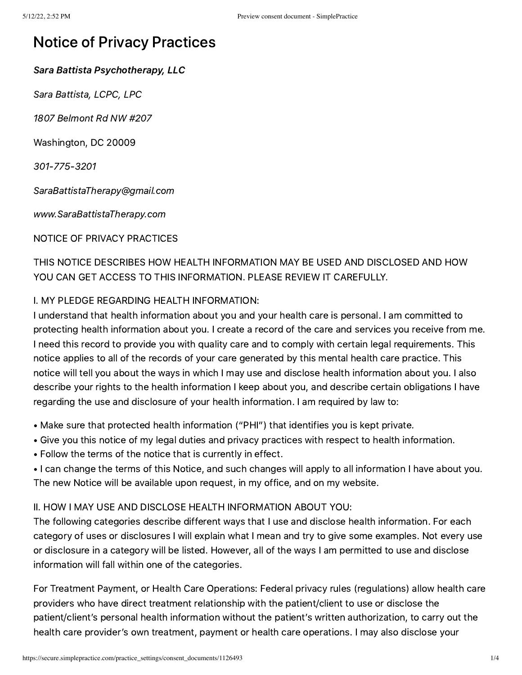# Notice of Privacy Practices

Sara Battista Psychotherapy, LLC

Sara Battista, LCPC, LPC

1807 Belmont Rd NW #207

Washington, DC 20009

301-775-3201

SaraBattistaTherapy@gmail.com

www.SaraBattistaTherapy.com

NOTICE OF PRIVACY PRACTICES

THIS NOTICE DESCRIBES HOW HEALTH INFORMATION MAY BE USED AND DISCLOSED AND HOW YOU CAN GET ACCESS TO THIS INFORMATION. PLEASE REVIEW IT CAREFULLY.

## I. MY PLEDGE REGARDING HEALTH INFORMATION:

I understand that health information about you and your health care is personal. I am committed to protecting health information about you. I create a record of the care and services you receive from me. I need this record to provide you with quality care and to comply with certain legal requirements. This notice applies to all of the records of your care generated by this mental health care practice. This notice will tell you about the ways in which I may use and disclose health information about you. I also describe your rights to the health information I keep about you, and describe certain obligations I have regarding the use and disclosure of your health information. I am required by law to:

- Make sure that protected health information ("PHI") that identifies you is kept private.
- Give you this notice of my legal duties and privacy practices with respect to health information.
- Follow the terms of the notice that is currently in effect.
- I can change the terms of this Notice, and such changes will apply to all information I have about you. The new Notice will be available upon request, in my office, and on my website.

## II. HOW I MAY USE AND DISCLOSE HEALTH INFORMATION ABOUT YOU:

The following categories describe different ways that I use and disclose health information. For each category of uses or disclosures I will explain what I mean and try to give some examples. Not every use or disclosure in a category will be listed. However, all of the ways I am permitted to use and disclose information will fall within one of the categories.

For Treatment Payment, or Health Care Operations: Federal privacy rules (regulations) allow health care providers who have direct treatment relationship with the patient/client to use or disclose the patient/client's personal health information without the patient's written authorization, to carry out the health care provider's own treatment, payment or health care operations. I may also disclose your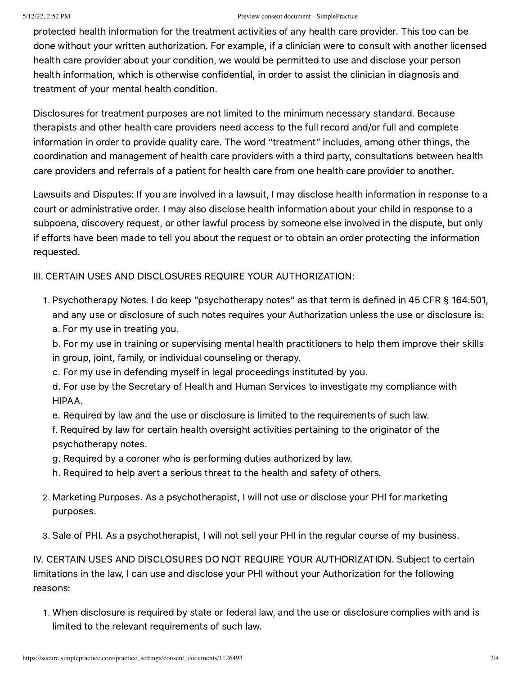#### 5/12/22, 2:52 PM Preview consent document - SimplePractice

protected health information for the treatment activities of any health care provider. This too can be done without your written authorization. For example, if a clinician were to consult with another licensed health care provider about your condition, we would be permitted to use and disclose your person health information, which is otherwise confidential, in order to assist the clinician in diagnosis and treatment of your mental health condition.

Disclosures for treatment purposes are not limited to the minimum necessary standard. Because therapists and other health care providers need access to the full record and/or full and complete information in order to provide quality care. The word "treatment" includes, among other things, the coordination and management of health care providers with a third party, consultations between health care providers and referrals of a patient for health care from one health care provider to another.

Lawsuits and Disputes: If you are involved in a lawsuit, I may disclose health information in response to a court or administrative order. I may also disclose health information about your child in response to a subpoena, discovery request, or other lawful process by someone else involved in the dispute, but only if efforts have been made to tell you about the request or to obtain an order protecting the information requested.

III. CERTAIN USES AND DISCLOSURES REQUIRE YOUR AUTHORIZATION:

. Psychotherapy Notes. I do keep "psychotherapy notes" as that term is defined in 45 CFR § 164.501, and any use or disclosure of such notes requires your Authorization unless the use or disclosure is: a. For my use in treating you.

b. For my use in training or supervising mental health practitioners to help them improve their skills in group, joint, family, or individual counseling or therapy.

- c. For my use in defending myself in legal proceedings instituted by you.
- d. For use by the Secretary of Health and Human Services to investigate my compliance with HIPAA.
- e. Required by law and the use or disclosure is limited to the requirements of such law.
- f. Required by law for certain health oversight activities pertaining to the originator of the psychotherapy notes.
- g. Required by a coroner who is performing duties authorized by law.
- h. Required to help avert a serious threat to the health and safety of others.
- . Marketing Purposes. As a psychotherapist, I will not use or disclose your PHI for marketing purposes.
- . Sale of PHI. As a psychotherapist, I will not sell your PHI in the regular course of my business.

IV. CERTAIN USES AND DISCLOSURES DO NOT REQUIRE YOUR AUTHORIZATION. Subject to certain limitations in the law, I can use and disclose your PHI without your Authorization for the following reasons:

. When disclosure is required by state or federal law, and the use or disclosure complies with and is limited to the relevant requirements of such law.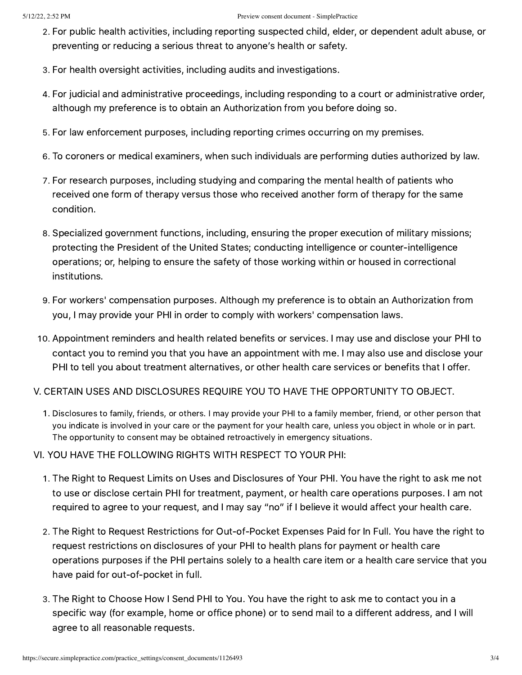- . For public health activities, including reporting suspected child, elder, or dependent adult abuse, or preventing or reducing a serious threat to anyone's health or safety.
- . For health oversight activities, including audits and investigations.
- . For judicial and administrative proceedings, including responding to a court or administrative order, although my preference is to obtain an Authorization from you before doing so.
- . For law enforcement purposes, including reporting crimes occurring on my premises.
- . To coroners or medical examiners, when such individuals are performing duties authorized by law.
- . For research purposes, including studying and comparing the mental health of patients who received one form of therapy versus those who received another form of therapy for the same condition.
- . Specialized government functions, including, ensuring the proper execution of military missions; protecting the President of the United States; conducting intelligence or counter-intelligence operations; or, helping to ensure the safety of those working within or housed in correctional institutions.
- . For workers' compensation purposes. Although my preference is to obtain an Authorization from you, I may provide your PHI in order to comply with workers' compensation laws.
- . Appointment reminders and health related benefits or services. I may use and disclose your PHI to contact you to remind you that you have an appointment with me. I may also use and disclose your PHI to tell you about treatment alternatives, or other health care services or benefits that I offer.

### V. CERTAIN USES AND DISCLOSURES REQUIRE YOU TO HAVE THE OPPORTUNITY TO OBJECT.

. Disclosures to family, friends, or others. I may provide your PHI to a family member, friend, or other person that you indicate is involved in your care or the payment for your health care, unless you object in whole or in part. The opportunity to consent may be obtained retroactively in emergency situations.

VI. YOU HAVE THE FOLLOWING RIGHTS WITH RESPECT TO YOUR PHI:

- . The Right to Request Limits on Uses and Disclosures of Your PHI. You have the right to ask me not to use or disclose certain PHI for treatment, payment, or health care operations purposes. I am not required to agree to your request, and I may say "no" if I believe it would affect your health care.
- . The Right to Request Restrictions for Out-of-Pocket Expenses Paid for In Full. You have the right to request restrictions on disclosures of your PHI to health plans for payment or health care operations purposes if the PHI pertains solely to a health care item or a health care service that you have paid for out-of-pocket in full.
- . The Right to Choose How I Send PHI to You. You have the right to ask me to contact you in a specific way (for example, home or office phone) or to send mail to a different address, and I will agree to all reasonable requests.